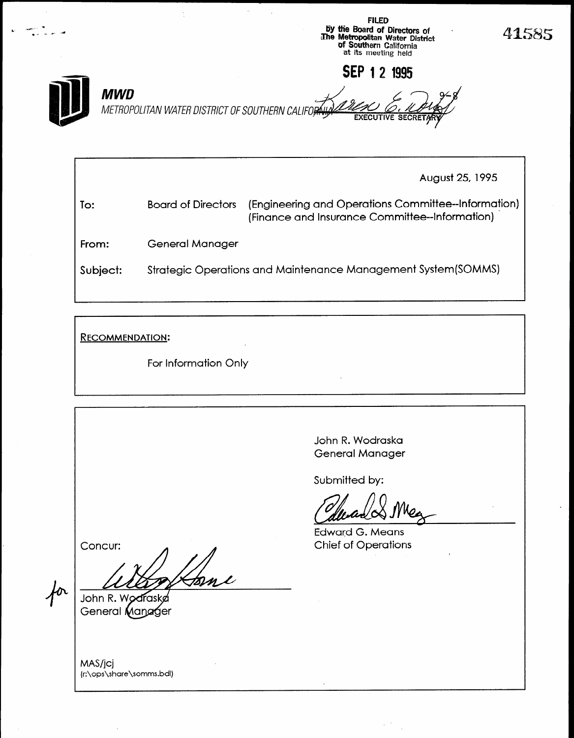

August 25, 1995 To: Board of Directors (Engineering and Operations Committee--Information) (Finance and Insurance Committee--Information) - From: Subject: General Manager Strategic Operations and Maintenance Management System(SOMMS)

RECOMMENDATION:

For Information Only

John R. Wodraska General Manager

Submitted by:

 $\frac{1}{2}$ 

Lawara G. Means

Concur:

John R. Wodras General Manager

MAS/jcj (r:\ops\share\somms.bdl)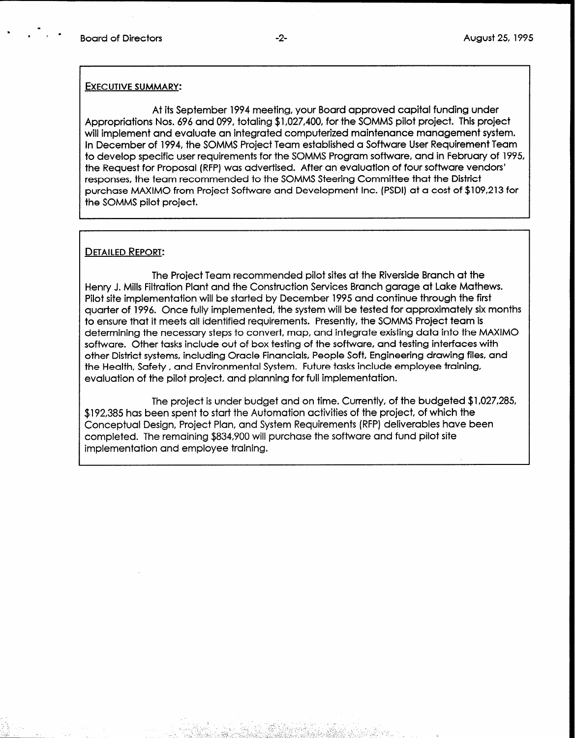\*

m

### EXECUTIVE SUMMARY:

At its September 1994 meeting, your Board approved capital funding under Appropriations Nos. 696 and 099, totaling \$1,027,400, for the SOMMS pilot project. This project will implement and evaluate an integrated computerized maintenance management system. In December of 1994, the SOMMS Project Team established a Software User Requirement Team to develop specific user requirements for the SOMMS Program software, and in February of 1995, the Request for Proposal (RFP) was advertised. After an evaluation of four software vendors' responses, the team recommended to the SOMMS Steering Committee that the District purchase MAXIM0 from Project Software and Development Inc. (PSDI) at a cost of \$109,213 for the SOMMS pilot project.

### DETAILED REPORT:

The Project Team recommended pilot sites at the Riverside Branch at the Henry J. Mills Filtration Plant and the Construction Services Branch garage at Lake Mathews. Pilot site implementation will be started by December 1995 and continue through the first quarter of 1996. Once fully implemented, the system will be tested for approximately six months to ensure that it meets all identified requirements. Presently, the SOMMS Project team is determining the necessary steps to convert, map, and integrate existing data into the MAXIM0 software. Other tasks include out of box testing of the software, and testing interfaces with other District systems, including Oracle Financials, People Soft, Engineering drawing files, and the Health, Safety , and Environmental System. Future tasks include employee training, evaluation of the pilot project, and planning for full implementation.

The project is under budget and on time. Currently, of the budgeted \$1,027,285, \$192,385 has been spent to start the Automation activities of the project, of which the Conceptual Design, Project Plan, and System Requirements (RFP) deliverables have been completed. The remaining \$834,900 will purchase the software and fund pilot site implementation and employee training.

ago, Pariji (1993-1993) (1993-199

. '. '. :

 $\sim$  ,  $\sim$ \_ \_\_\_ :-,; -- .: : :. ,: ~ I

- . . ,. \_

c 1: ^ \_